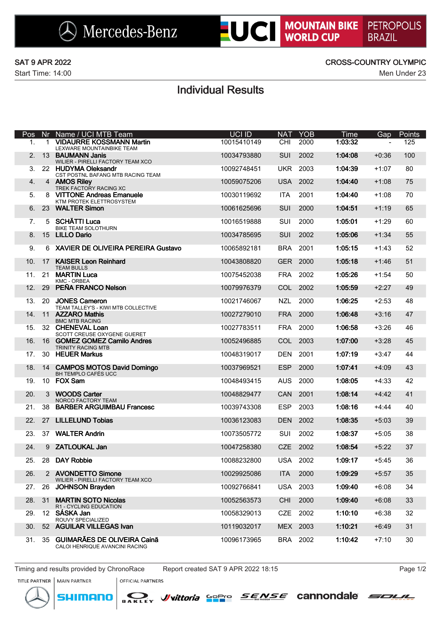$\bigotimes$  Mercedes-Benz

**EUCI MOUNTAIN BIKE PETROPOLIS** 

Start Time: 14:00 Men Under 23

### SAT 9 APR 2022 CROSS-COUNTRY OLYMPIC

## Individual Results

| Pos            | Nr.           | Name / UCI MTB Team                                              | <b>UCI ID</b> | <b>NAT</b> | <b>YOB</b> | Time    | Gap            | Points |
|----------------|---------------|------------------------------------------------------------------|---------------|------------|------------|---------|----------------|--------|
| 1.             | 1             | <b>VIDAURRE KOSSMANN Martin</b><br>LEXWARE MOUNTAINBIKE TEAM     | 10015410149   | <b>CHI</b> | 2000       | 1:03:32 | $\blacksquare$ | 125    |
| 2 <sub>1</sub> |               | 13 BAUMANN Janis<br>WILIER - PIRELLI FACTORY TEAM XCO            | 10034793880   | <b>SUI</b> | 2002       | 1:04:08 | $+0:36$        | 100    |
| 3.             |               | 22 HUDYMA Oleksandr<br>CST POSTNL BAFANG MTB RACING TEAM         | 10092748451   | <b>UKR</b> | 2003       | 1:04:39 | $+1:07$        | 80     |
| 4.             |               | 4 AMOS Riley<br>TREK FACTORY RACING XC                           | 10059075206   | <b>USA</b> | 2002       | 1:04:40 | $+1:08$        | 75     |
| 5.             |               | 8 VITTONE Andreas Emanuele<br>KTM PROTEK ELETTROSYSTEM           | 10030119692   | <b>ITA</b> | 2001       | 1:04:40 | $+1:08$        | 70     |
| 6.             |               | 23 WALTER Simon                                                  | 10061625696   | <b>SUI</b> | 2000       | 1:04:51 | $+1:19$        | 65     |
| 7.             |               | 5 SCHÄTTI Luca<br><b>BIKE TEAM SOLOTHURN</b>                     | 10016519888   | SUI        | 2000       | 1:05:01 | $+1:29$        | 60     |
| 8.             |               | 15 LILLO Dario                                                   | 10034785695   | SUI        | 2002       | 1:05:06 | $+1:34$        | 55     |
| 9.             |               | 6 XAVIER DE OLIVEIRA PEREIRA Gustavo                             | 10065892181   | <b>BRA</b> | 2001       | 1:05:15 | $+1:43$        | 52     |
| 10.            | 17            | <b>KAISER Leon Reinhard</b><br><b>TEAM BULLS</b>                 | 10043808820   | <b>GER</b> | 2000       | 1:05:18 | $+1:46$        | 51     |
| 11.            |               | 21 MARTIN Luca<br><b>KMC - ORBEA</b>                             | 10075452038   | <b>FRA</b> | 2002       | 1:05:26 | $+1:54$        | 50     |
| 12.            | 29            | PEÑA FRANCO Nelson                                               | 10079976379   | COL        | 2002       | 1:05:59 | $+2:27$        | 49     |
| 13.            |               | 20 JONES Cameron<br>TEAM TALLEY'S - KIWI MTB COLLECTIVE          | 10021746067   | <b>NZL</b> | 2000       | 1:06:25 | $+2:53$        | 48     |
| 14.            |               | 11 AZZARO Mathis<br><b>BMC MTB RACING</b>                        | 10027279010   | <b>FRA</b> | 2000       | 1:06:48 | $+3:16$        | 47     |
| 15.            |               | 32 CHENEVAL Loan<br>SCOTT CREUSE OXYGENE GUERET                  | 10027783511   | <b>FRA</b> | 2000       | 1:06:58 | $+3:26$        | 46     |
| 16.            |               | 16 GOMEZ GOMEZ Camilo Andres<br><b>TRINITY RACING MTB</b>        | 10052496885   | COL        | 2003       | 1:07:00 | $+3:28$        | 45     |
| 17.            |               | 30 HEUER Markus                                                  | 10048319017   | <b>DEN</b> | 2001       | 1:07:19 | $+3:47$        | 44     |
| 18.            | 14            | <b>CAMPOS MOTOS David Domingo</b><br><b>BH TEMPLO CAFÉS UCC</b>  | 10037969521   | <b>ESP</b> | 2000       | 1:07:41 | $+4:09$        | 43     |
| 19.            |               | 10 FOX Sam                                                       | 10048493415   | <b>AUS</b> | 2000       | 1:08:05 | $+4:33$        | 42     |
| 20.            | $\mathcal{S}$ | <b>WOODS Carter</b><br>NORCO FACTORY TEAM                        | 10048829477   | CAN        | 2001       | 1:08:14 | $+4:42$        | 41     |
| 21.            | 38            | <b>BARBER ARGUIMBAU Francesc</b>                                 | 10039743308   | <b>ESP</b> | 2003       | 1:08:16 | $+4:44$        | 40     |
| 22.            | 27            | <b>LILLELUND Tobias</b>                                          | 10036123083   | <b>DEN</b> | 2002       | 1:08:35 | $+5:03$        | 39     |
| 23.            | 37            | <b>WALTER Andrin</b>                                             | 10073505772   | SUI        | 2002       | 1:08:37 | $+5:05$        | 38     |
| 24.            |               | 9 ZATLOUKAL Jan                                                  | 10047258380   | <b>CZE</b> | 2002       | 1:08:54 | $+5:22$        | 37     |
| 25.            |               | 28 DAY Robbie                                                    | 10088232800   | <b>USA</b> | 2002       | 1:09:17 | $+5:45$        | 36     |
| 26.            |               | 2 AVONDETTO Simone<br>WILIER - PIRELLI FACTORY TEAM XCO          | 10029925086   | <b>ITA</b> | 2000       | 1:09:29 | $+5:57$        | 35     |
| 27.            | 26            | <b>JOHNSON Brayden</b>                                           | 10092766841   | <b>USA</b> | 2003       | 1:09:40 | $+6:08$        | 34     |
| 28.            | 31            | <b>MARTIN SOTO Nicolas</b>                                       | 10052563573   | <b>CHI</b> | 2000       | 1:09:40 | $+6:08$        | 33     |
| 29.            |               | R1 - CYCLING EDUCATION<br>12 SÁSKA Jan<br>ROUVY SPECIALIZED      | 10058329013   | CZE        | 2002       | 1:10:10 | $+6:38$        | 32     |
| 30.            |               | 52 AGUILAR VILLEGAS Ivan                                         | 10119032017   | MEX        | 2003       | 1:10:21 | $+6:49$        | 31     |
| 31.            |               | 35 GUIMARÃES DE OLIVEIRA Cainã<br>CALOI HENRIQUE AVANCINI RACING | 10096173965   | <b>BRA</b> | 2002       | 1:10:42 | $+7:10$        | 30     |

Timing and results provided by ChronoRace Report created SAT 9 APR 2022 18:15 Page 1/2



TITLE PARTNER | MAIN PARTNER